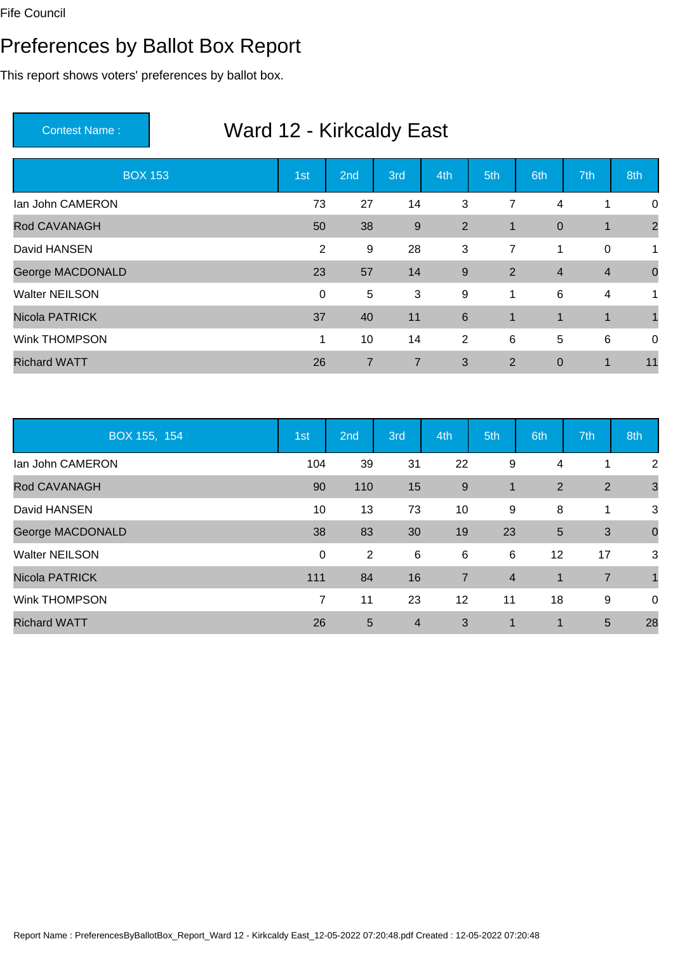#### Preferences by Ballot Box Report

This report shows voters' preferences by ballot box.

| <b>BOX 153</b>        | 1st            | 2nd            | 3rd            | 4th            | 5th            | 6th              | 7th            | 8th            |
|-----------------------|----------------|----------------|----------------|----------------|----------------|------------------|----------------|----------------|
| lan John CAMERON      | 73             | 27             | 14             | 3              | 7              | 4                | 1              | 0              |
| Rod CAVANAGH          | 50             | 38             | 9              | $\overline{2}$ | $\mathbf 1$    | $\boldsymbol{0}$ | $\mathbf 1$    | $\overline{2}$ |
| David HANSEN          | $\overline{2}$ | 9              | 28             | 3              | $\overline{7}$ | 1                | 0              | $\mathbf{1}$   |
| George MACDONALD      | 23             | 57             | 14             | 9              | 2              | $\overline{4}$   | $\overline{4}$ | $\mathbf 0$    |
| <b>Walter NEILSON</b> | $\mathbf{0}$   | $\overline{5}$ | 3              | 9              | 1              | 6                | 4              | $\mathbf{1}$   |
| <b>Nicola PATRICK</b> | 37             | 40             | 11             | $\,6\,$        | $\mathbf{1}$   | $\mathbf{1}$     | $\mathbf 1$    | $\mathbf 1$    |
| <b>Wink THOMPSON</b>  | $\mathbf 1$    | 10             | 14             | $\overline{2}$ | 6              | 5                | 6              | $\mathbf 0$    |
| <b>Richard WATT</b>   | 26             | 7              | $\overline{7}$ | 3              | 2              | $\mathbf 0$      | 1              | 11             |

| BOX 155, 154          | 1st         | 2nd            | 3rd            | 4th            | 5th            | 6th            | 7th            | 8th            |
|-----------------------|-------------|----------------|----------------|----------------|----------------|----------------|----------------|----------------|
| lan John CAMERON      | 104         | 39             | 31             | 22             | 9              | 4              |                | $\overline{2}$ |
| Rod CAVANAGH          | 90          | 110            | 15             | $\overline{9}$ | $\overline{1}$ | $\overline{2}$ | 2              | 3              |
| David HANSEN          | 10          | 13             | 73             | 10             | 9              | 8              | 1              | 3              |
| George MACDONALD      | 38          | 83             | 30             | 19             | 23             | 5              | 3              | $\mathbf 0$    |
| <b>Walter NEILSON</b> | $\mathbf 0$ | $\overline{2}$ | 6              | 6              | 6              | 12             | 17             | 3              |
| <b>Nicola PATRICK</b> | 111         | 84             | 16             | $\overline{7}$ | $\overline{4}$ | $\mathbf{1}$   | $\overline{7}$ | $\overline{1}$ |
| <b>Wink THOMPSON</b>  | 7           | 11             | 23             | 12             | 11             | 18             | 9              | 0              |
| <b>Richard WATT</b>   | 26          | 5              | $\overline{4}$ | 3              | $\mathbf 1$    | $\blacksquare$ | 5              | 28             |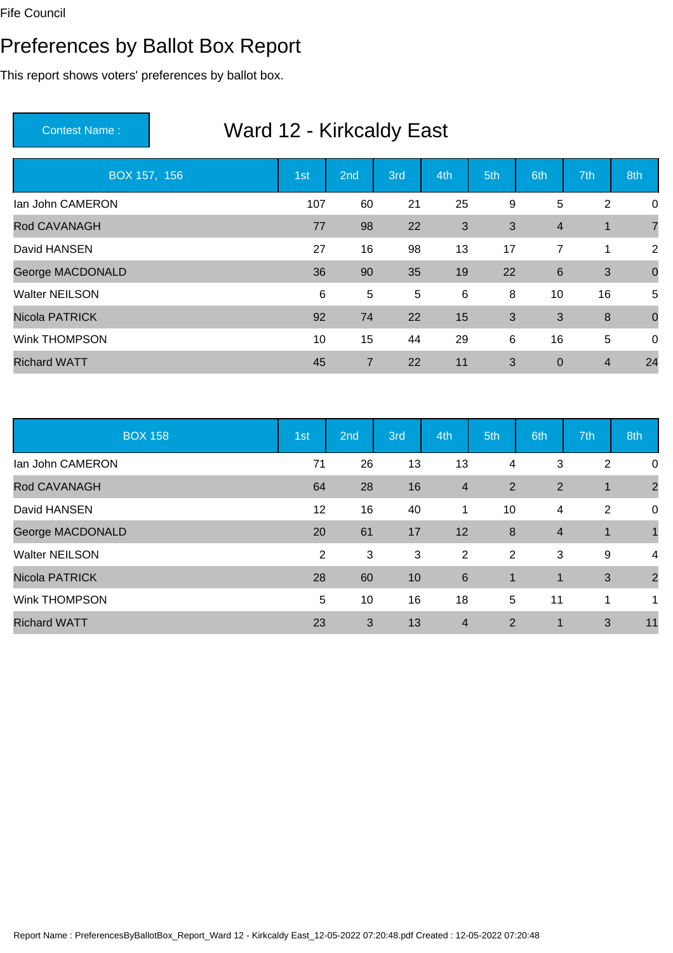#### Preferences by Ballot Box Report

This report shows voters' preferences by ballot box.

| BOX 157, 156            | 1st | 2 <sub>nd</sub> | 3rd | 4th | 5th | 6th            | 7th            | 8th            |
|-------------------------|-----|-----------------|-----|-----|-----|----------------|----------------|----------------|
| lan John CAMERON        | 107 | 60              | 21  | 25  | 9   | 5              | $\overline{2}$ | $\mathbf 0$    |
| Rod CAVANAGH            | 77  | 98              | 22  | 3   | 3   | $\overline{4}$ | 1              | 7              |
| David HANSEN            | 27  | 16              | 98  | 13  | 17  | $\overline{7}$ | 1              | $\overline{2}$ |
| <b>George MACDONALD</b> | 36  | 90              | 35  | 19  | 22  | 6              | 3              | $\overline{0}$ |
| <b>Walter NEILSON</b>   | 6   | 5               | 5   | 6   | 8   | 10             | 16             | 5              |
| <b>Nicola PATRICK</b>   | 92  | 74              | 22  | 15  | 3   | 3              | 8              | $\overline{0}$ |
| <b>Wink THOMPSON</b>    | 10  | 15              | 44  | 29  | 6   | 16             | 5              | $\overline{0}$ |
| <b>Richard WATT</b>     | 45  | $\overline{7}$  | 22  | 11  | 3   | $\overline{0}$ | $\overline{4}$ | 24             |

| <b>BOX 158</b>          | 1st | 2nd | 3rd | 4th                     | 5th            | 6th            | 7th            | 8th            |
|-------------------------|-----|-----|-----|-------------------------|----------------|----------------|----------------|----------------|
| lan John CAMERON        | 71  | 26  | 13  | 13                      | 4              | 3              | $\overline{2}$ | 0              |
| Rod CAVANAGH            | 64  | 28  | 16  | $\overline{\mathbf{4}}$ | 2              | $\overline{2}$ | 1              | $\overline{2}$ |
| David HANSEN            | 12  | 16  | 40  | 1                       | 10             | 4              | 2              | 0              |
| <b>George MACDONALD</b> | 20  | 61  | 17  | 12                      | 8              | $\overline{4}$ | 1              |                |
| <b>Walter NEILSON</b>   | 2   | 3   | 3   | $\overline{2}$          | 2              | 3              | 9              | $\overline{4}$ |
| <b>Nicola PATRICK</b>   | 28  | 60  | 10  | 6                       | $\overline{1}$ | $\mathbf{1}$   | 3              | $\overline{2}$ |
| <b>Wink THOMPSON</b>    | 5   | 10  | 16  | 18                      | 5              | 11             | 1              | 1              |
| <b>Richard WATT</b>     | 23  | 3   | 13  | $\overline{4}$          | 2              | $\mathbf 1$    | 3              | 11             |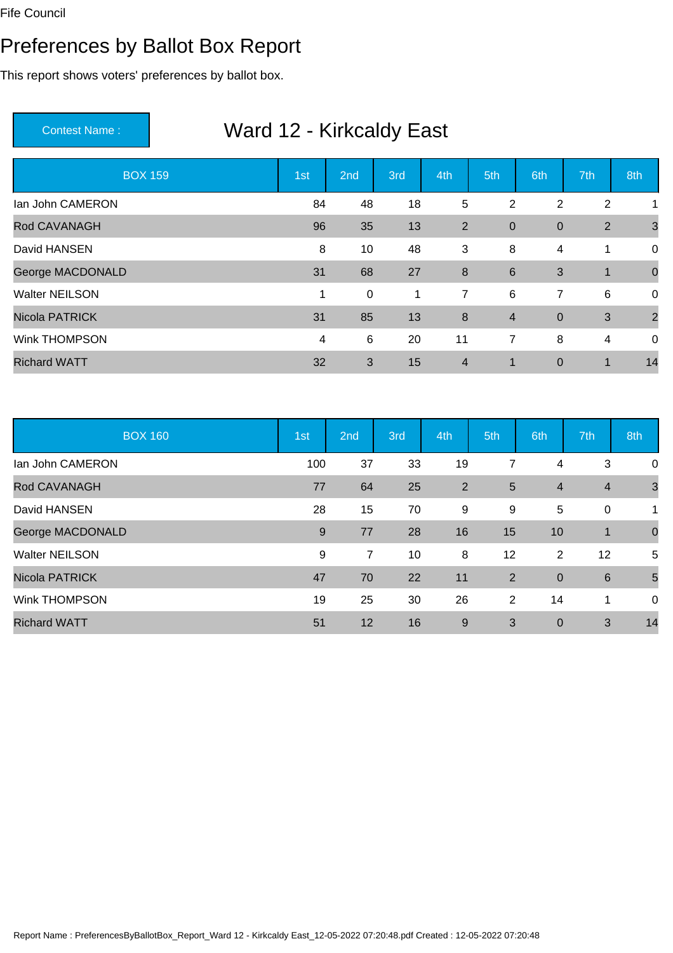#### Preferences by Ballot Box Report

This report shows voters' preferences by ballot box.

| <b>BOX 159</b>        | 1st          | 2nd              | 3rd | 4th              | 5th            | 6th            | 7th            | 8th            |
|-----------------------|--------------|------------------|-----|------------------|----------------|----------------|----------------|----------------|
| lan John CAMERON      | 84           | 48               | 18  | $5\phantom{.0}$  | $\overline{2}$ | 2              | $\overline{2}$ | 1              |
| Rod CAVANAGH          | 96           | 35               | 13  | 2                | $\mathbf 0$    | $\mathbf 0$    | $\overline{2}$ | $\mathbf{3}$   |
| David HANSEN          | 8            | 10               | 48  | 3                | 8              | 4              | 1              | $\overline{0}$ |
| George MACDONALD      | 31           | 68               | 27  | $\boldsymbol{8}$ | 6              | 3              | $\mathbf 1$    | $\overline{0}$ |
| <b>Walter NEILSON</b> | $\mathbf{1}$ | $\boldsymbol{0}$ | 1   | $\overline{7}$   | 6              | $\overline{7}$ | 6              | $\overline{0}$ |
| Nicola PATRICK        | 31           | 85               | 13  | $\boldsymbol{8}$ | $\overline{4}$ | $\overline{0}$ | 3              | $\overline{2}$ |
| <b>Wink THOMPSON</b>  | 4            | 6                | 20  | 11               | $\overline{7}$ | 8              | 4              | $\mathbf 0$    |
| <b>Richard WATT</b>   | 32           | 3                | 15  | $\overline{4}$   | 1              | $\mathbf 0$    | $\mathbf 1$    | 14             |

| <b>BOX 160</b>        | 1st | 2nd            | 3rd | 4th            | 5th            | 6th              | 7th            | 8th            |
|-----------------------|-----|----------------|-----|----------------|----------------|------------------|----------------|----------------|
| lan John CAMERON      | 100 | 37             | 33  | 19             | $\overline{7}$ | 4                | 3              | 0              |
| Rod CAVANAGH          | 77  | 64             | 25  | $\overline{2}$ | 5              | $\overline{4}$   | $\overline{4}$ | $\mathbf{3}$   |
| David HANSEN          | 28  | 15             | 70  | 9              | 9              | 5                | $\mathbf 0$    | $\mathbf{1}$   |
| George MACDONALD      | 9   | 77             | 28  | 16             | 15             | 10               | $\overline{1}$ | $\overline{0}$ |
| <b>Walter NEILSON</b> | 9   | $\overline{7}$ | 10  | 8              | 12             | 2                | 12             | 5              |
| <b>Nicola PATRICK</b> | 47  | 70             | 22  | 11             | 2              | $\overline{0}$   | 6              | 5              |
| <b>Wink THOMPSON</b>  | 19  | 25             | 30  | 26             | 2              | 14               | 1              | 0              |
| <b>Richard WATT</b>   | 51  | 12             | 16  | 9              | 3              | $\boldsymbol{0}$ | 3              | 14             |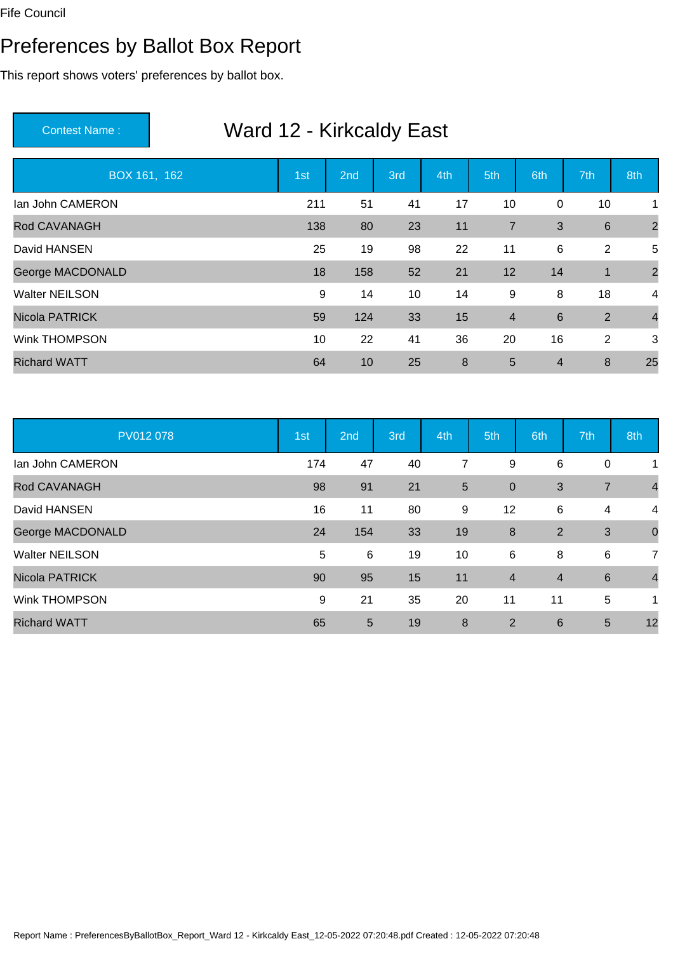#### Preferences by Ballot Box Report

This report shows voters' preferences by ballot box.

| BOX 161, 162          | 1st | 2 <sub>nd</sub> | 3rd | 4th | 5th            | 6th            | 7th             | 8th            |
|-----------------------|-----|-----------------|-----|-----|----------------|----------------|-----------------|----------------|
| lan John CAMERON      | 211 | 51              | 41  | 17  | 10             | 0              | 10              | 1              |
| Rod CAVANAGH          | 138 | 80              | 23  | 11  | $\overline{7}$ | 3              | $6\phantom{1}6$ | $\overline{2}$ |
| David HANSEN          | 25  | 19              | 98  | 22  | 11             | 6              | 2               | 5              |
| George MACDONALD      | 18  | 158             | 52  | 21  | 12             | 14             | $\mathbf{1}$    | $\overline{2}$ |
| <b>Walter NEILSON</b> | 9   | 14              | 10  | 14  | 9              | 8              | 18              | $\overline{4}$ |
| Nicola PATRICK        | 59  | 124             | 33  | 15  | $\overline{4}$ | $6\phantom{1}$ | 2               | $\overline{4}$ |
| <b>Wink THOMPSON</b>  | 10  | 22              | 41  | 36  | 20             | 16             | 2               | 3              |
| <b>Richard WATT</b>   | 64  | 10              | 25  | 8   | 5              | $\overline{4}$ | 8               | 25             |

| PV012 078               | 1st | 2nd | 3rd | 4th | 5th            | 6th            | 7th            | 8th            |
|-------------------------|-----|-----|-----|-----|----------------|----------------|----------------|----------------|
| lan John CAMERON        | 174 | 47  | 40  | 7   | 9              | 6              | $\mathbf 0$    | 1              |
| Rod CAVANAGH            | 98  | 91  | 21  | 5   | $\overline{0}$ | 3              | $\overline{7}$ | $\overline{4}$ |
| David HANSEN            | 16  | 11  | 80  | 9   | 12             | 6              | $\overline{4}$ | $\overline{4}$ |
| <b>George MACDONALD</b> | 24  | 154 | 33  | 19  | 8              | $\overline{2}$ | 3              | $\mathbf 0$    |
| <b>Walter NEILSON</b>   | 5   | 6   | 19  | 10  | 6              | 8              | 6              | $\overline{7}$ |
| <b>Nicola PATRICK</b>   | 90  | 95  | 15  | 11  | $\overline{4}$ | $\overline{4}$ | 6              | $\overline{4}$ |
| <b>Wink THOMPSON</b>    | 9   | 21  | 35  | 20  | 11             | 11             | 5              | 1              |
| <b>Richard WATT</b>     | 65  | 5   | 19  | 8   | 2              | 6              | 5              | 12             |